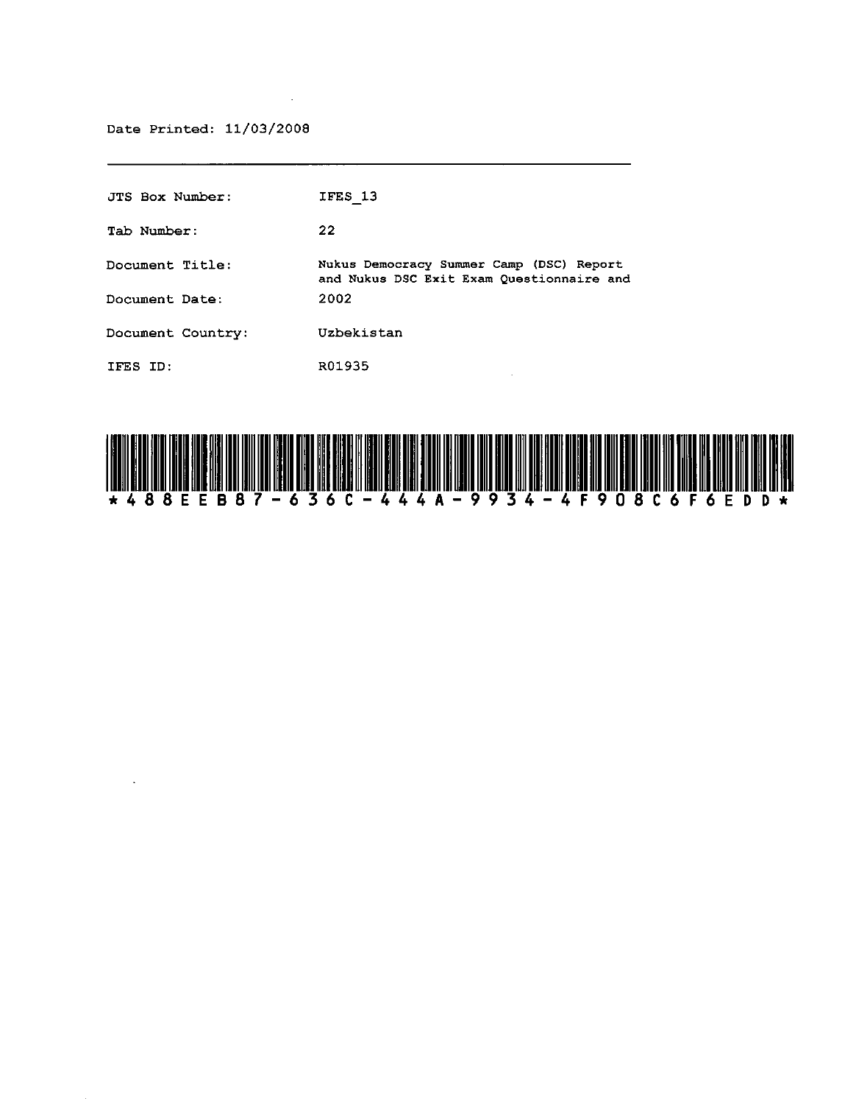Date Printed: 11/03/2008

 $\sim 10^6$ 

 $\mathcal{L}^{\text{max}}_{\text{max}}$  , where  $\mathcal{L}^{\text{max}}_{\text{max}}$ 

| JTS Box Number:   | IFES 13                                                                               |
|-------------------|---------------------------------------------------------------------------------------|
| Tab Number:       | 22                                                                                    |
| Document Title:   | Nukus Democracy Summer Camp (DSC) Report<br>and Nukus DSC Exit Exam Questionnaire and |
| Document Date:    | 2002                                                                                  |
| Document Country: | Uzbekistan                                                                            |
| IFES ID:          | R01935                                                                                |

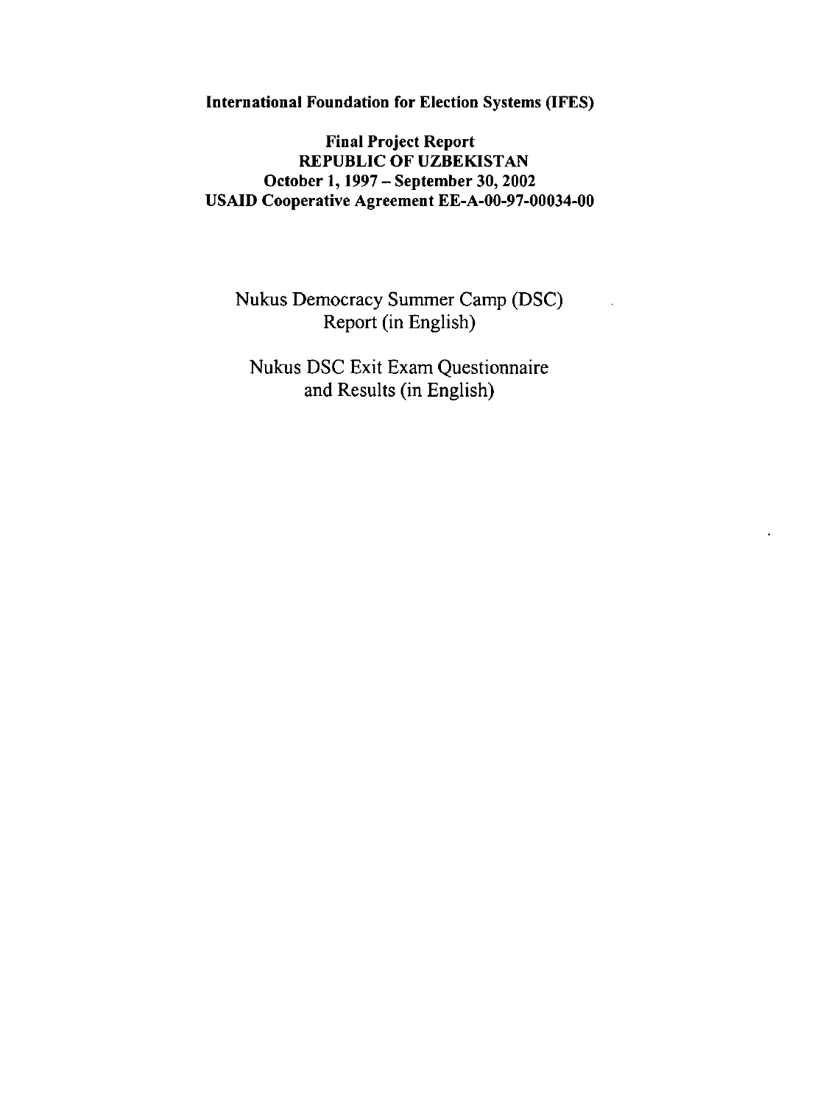International Foundation for Election Systems (IFES)

## Final Project Report REPUBLIC OF UZBEKISTAN October 1, 1997 - September 30, 2002 USAID Cooperative Agreement EE-A-00-97-00034-00

Nukus Democracy Summer Camp (DSC) Report (in English)

Nukus DSC Exit Exam Questionnaire and Results (in English)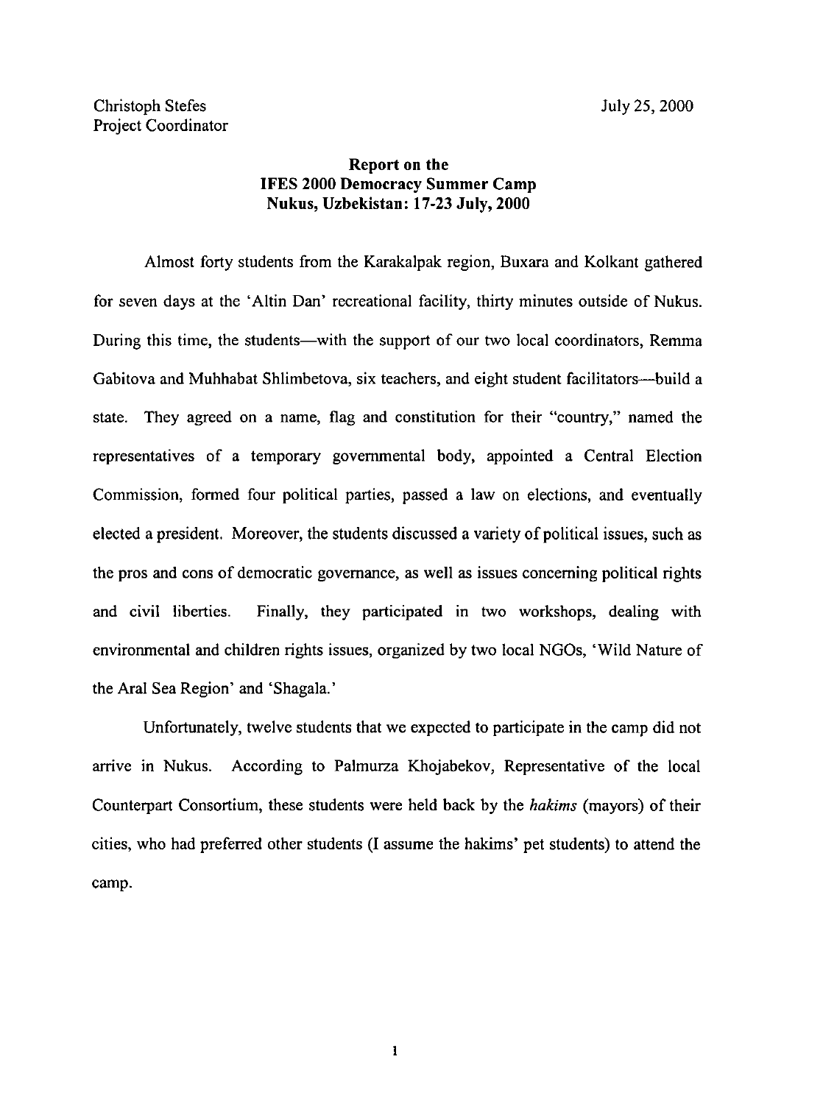## Report on the IFES 2000 Democracy Summer Camp Nukus, Uzbekistan: 17-23 July, 2000

Almost forty students from the Karakalpak region, Buxara and Kolkant gathered for seven days at the' Altin Dan' recreational facility, thirty minutes outside of Nukus. During this time, the students—with the support of our two local coordinators, Remma Gabitova and Muhhabat Shlimbetova, six teachers, and eight student facilitators—build a state. They agreed on a name, flag and constitution for their "country," named the representatives of a temporary governmental body, appointed a Central Election Commission, formed four political parties, passed a law on elections, and eventually elected a president. Moreover, the students discussed a variety of political issues, such as the pros and cons of democratic governance, as well as issues concerning political rights and civil liberties. Finally, they participated in two workshops, dealing with environmental and children rights issues, organized by two local NGOs, 'Wild Nature of the Aral Sea Region' and 'Shagala.'

Unfortunately, twelve students that we expected to participate in the camp did not arrive in Nukus. According to Palmurza Khojabekov, Representative of the local Counterpart Consortium, these students were held back by the *hakims* (mayors) of their cities, who had preferred other students (I assume the hakims' pet students) to attend the camp.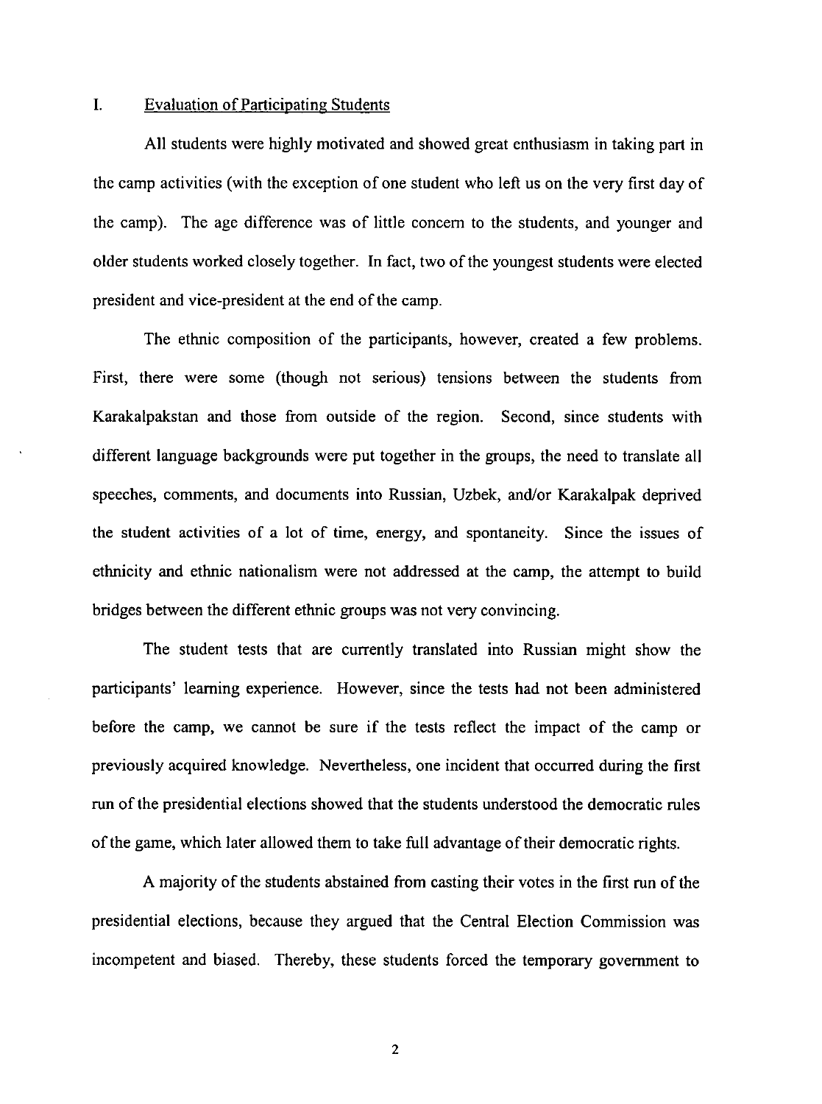## I. Evaluation of Participating Students

All students were highly motivated and showed great enthusiasm in taking part in the camp activities (with the exception of one student who left us on the very first day of the camp). The age difference was of little concern to the students, and younger and older students worked closely together. In fact, two of the youngest students were elected president and vice-president at the end of the camp.

The ethnic composition of the participants, however, created a few problems. First, there were some (though not serious) tensions between the students from Karakalpakstan and those from outside of the region. Second, since students with different language backgrounds were put together in the groups, the need to translate all speeches, comments, and documents into Russian, Uzbek, and/or Karakalpak deprived the student activities of a lot of time, energy, and spontaneity. Since the issues of ethnicity and ethnic nationalism were not addressed at the camp, the attempt to build bridges between the different ethnic groups was not very convincing.

The student tests that are currently translated into Russian might show the participants' learning experience. However, since the tests had not been administered before the camp, we cannot be sure if the tests reflect the impact of the camp or previously acquired knowledge. Nevertheless, one incident that occurred during the first run of the presidential elections showed that the students understood the democratic rules of the game, which later allowed them to take full advantage of their democratic rights.

A majority of the students abstained from casting their votes in the first run of the presidential elections, because they argued that the Central Election Commission was incompetent and biased. Thereby, these students forced the temporary government to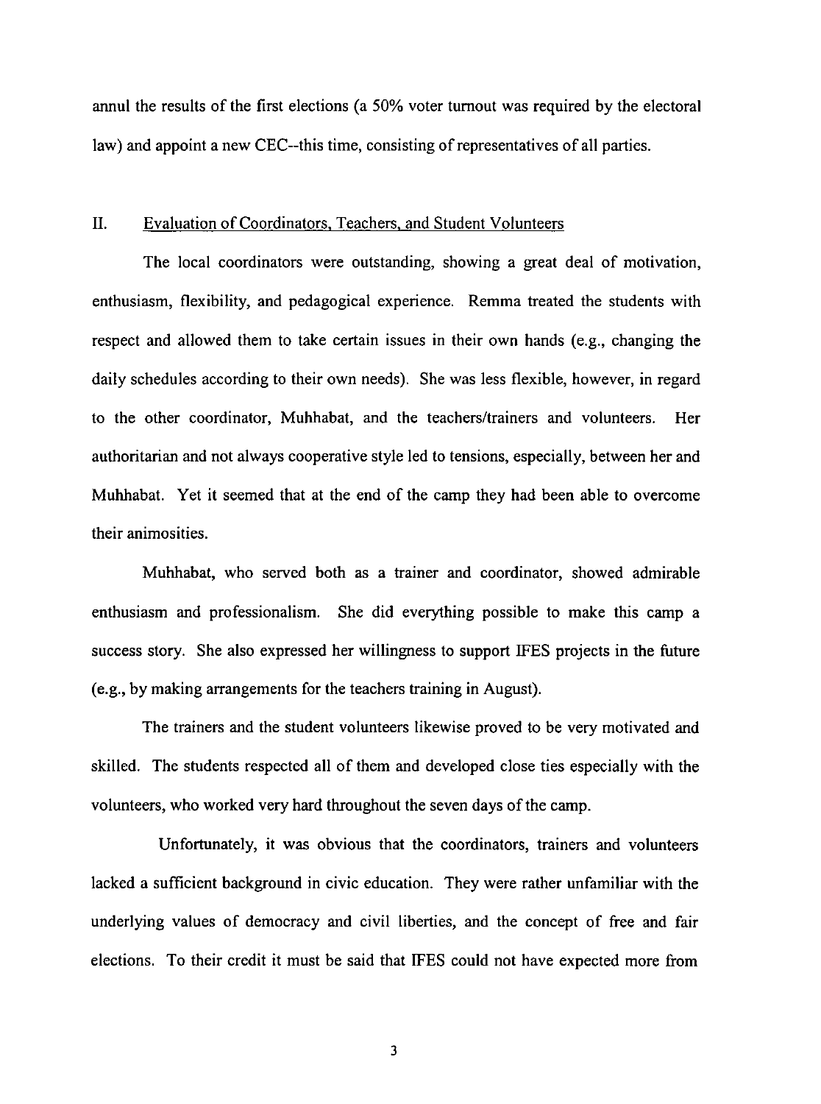annul the results of the first elections (a 50% voter turnout was required by the electoral law) and appoint a new CEC--this time, consisting of representatives of all parties.

#### II. Evaluation of Coordinators, Teachers, and Student Volunteers

The local coordinators were outstanding, showing a great deal of motivation, enthusiasm, flexibility, and pedagogical experience. Remma treated the students with respect and allowed them to take certain issues in their own hands (e.g., changing the daily schedules according to their own needs). She was less flexible, however, in regard to the other coordinator, Muhhabat, and the teachers/trainers and volunteers. Her authoritarian and not always cooperative style led to tensions, especially, between her and Muhhabat. Yet it seemed that at the end of the camp they had been able to overcome their animosities.

Muhhabat, who served both as a trainer and coordinator, showed admirable enthusiasm and professionalism. She did everything possible to make this camp a success story. She also expressed her willingness to support IFES projects in the future (e.g., by making arrangements for the teachers training in August).

The trainers and the student volunteers likewise proved to be very motivated and skilled. The students respected all of them and developed close ties especially with the volunteers, who worked very hard throughout the seven days of the camp.

Unfortunately, it was obvious that the coordinators, trainers and volunteers lacked a sufficient background in civic education. They were rather unfamiliar with the underlying values of democracy and civil liberties, and the concept of free and fair elections. To their credit it must be said that IFES could not have expected more from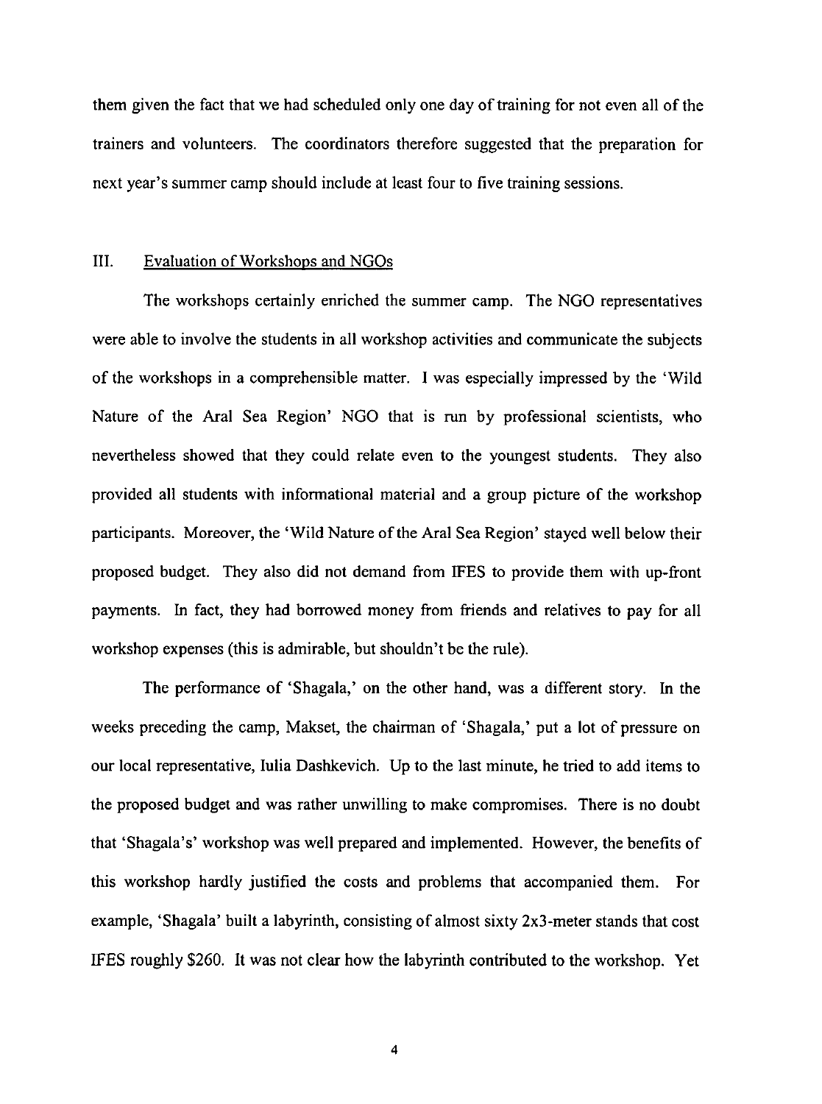them given the fact that we had scheduled only one day of training for not even all of the trainers and volunteers. The coordinators therefore suggested that the preparation for next year's summer camp should include at least four to five training sessions.

### III. Evaluation of Workshops and NGOs

The workshops certainly enriched the summer camp. The NGO representatives were able to involve the students in all workshop activities and communicate the subjects of the workshops in a comprehensible matter. I was especially impressed by the 'Wild Nature of the Aral Sea Region' NGO that is run by professional scientists, who nevertheless showed that they could relate even to the youngest students. They also provided all students with informational material and a group picture of the workshop participants. Moreover, the 'Wild Nature ofthe Aral Sea Region' stayed well below their proposed budget. They also did not demand from IFES to provide them with up-front payments. In fact, they had borrowed money from friends and relatives to pay for all workshop expenses (this is admirable, but shouldn't be the rule).

The performance of 'Shagala,' on the other hand, was a different story. In the weeks preceding the camp, Makset, the chairman of 'Shagala,' put a lot of pressure on our local representative, Iulia Dashkevich. Up to the last minute, he tried to add items to the proposed budget and was rather unwilling to make compromises. There is no doubt that 'Shagala's' workshop was well prepared and implemented. However, the benefits of this workshop hardly justified the costs and problems that accompanied them. For example, 'Shagala' built a labyrinth, consisting of almost sixty 2x3-meter stands that cost IFES roughly \$260. It was not clear how the labyrinth contributed to the workshop. Yet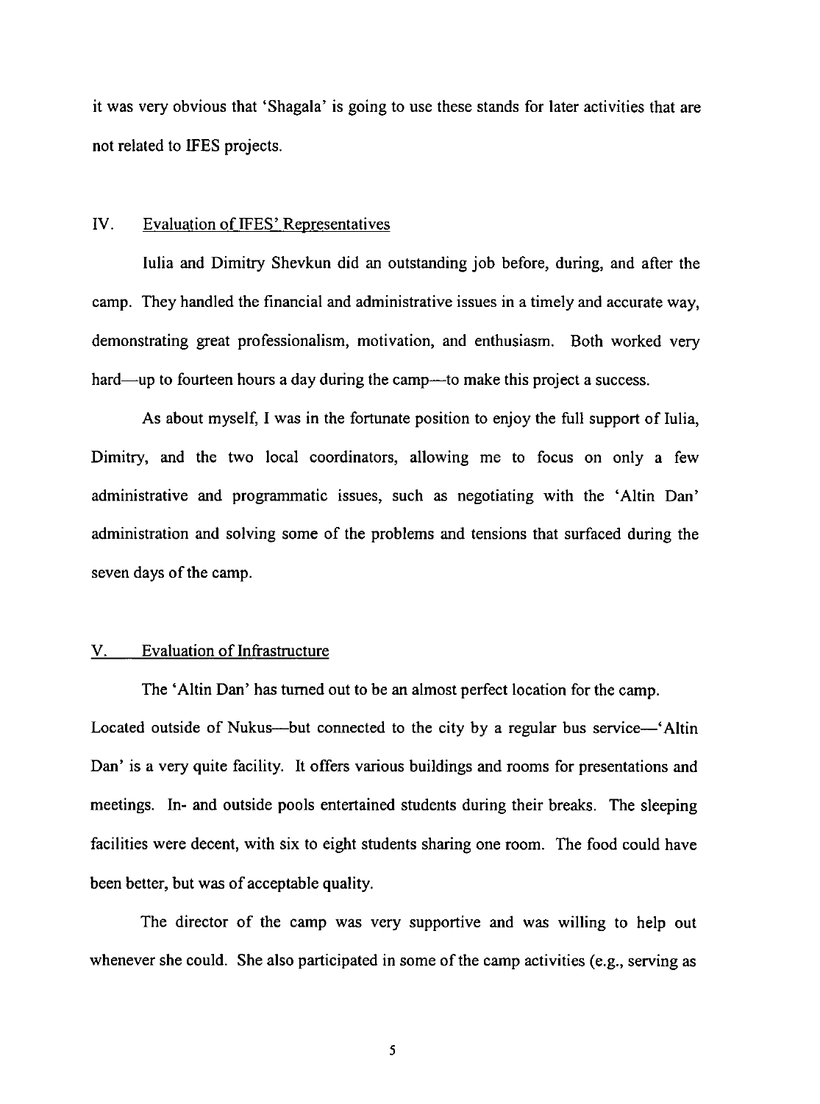it was very obvious that 'Shagala' is going to use these stands for later activities that are not related to IFES projects.

#### IV. Evaluation of IFES' Representatives

lulia and Dimitry Shevkun did an outstanding job before, during, and after the camp. They handled the financial and administrative issues in a timely and accurate way, demonstrating great professionalism, motivation, and enthusiasm. Both worked very hard—up to fourteen hours a day during the camp—to make this project a success.

As about myself, I was in the fortunate position to enjoy the full support of lulia, Dimitry, and the two local coordinators, allowing me to focus on only a few administrative and programmatic issues, such as negotiating with the 'Altin Dan' administration and solving some of the problems and tensions that surfaced during the seven days of the camp.

#### V. Evaluation of Infrastructure

The 'Altin Dan' has turned out to be an almost perfect location for the camp. Located outside of Nukus---but connected to the city by a regular bus service--'Altin Dan' is a very quite facility. It offers various buildings and rooms for presentations and meetings. In- and outside pools entertained students during their breaks. The sleeping facilities were decent, with six to eight students sharing one room. The food could have been better, but was of acceptable quality.

The director of the camp was very supportive and was willing to help out whenever she could. She also participated in some of the camp activities (e.g., serving as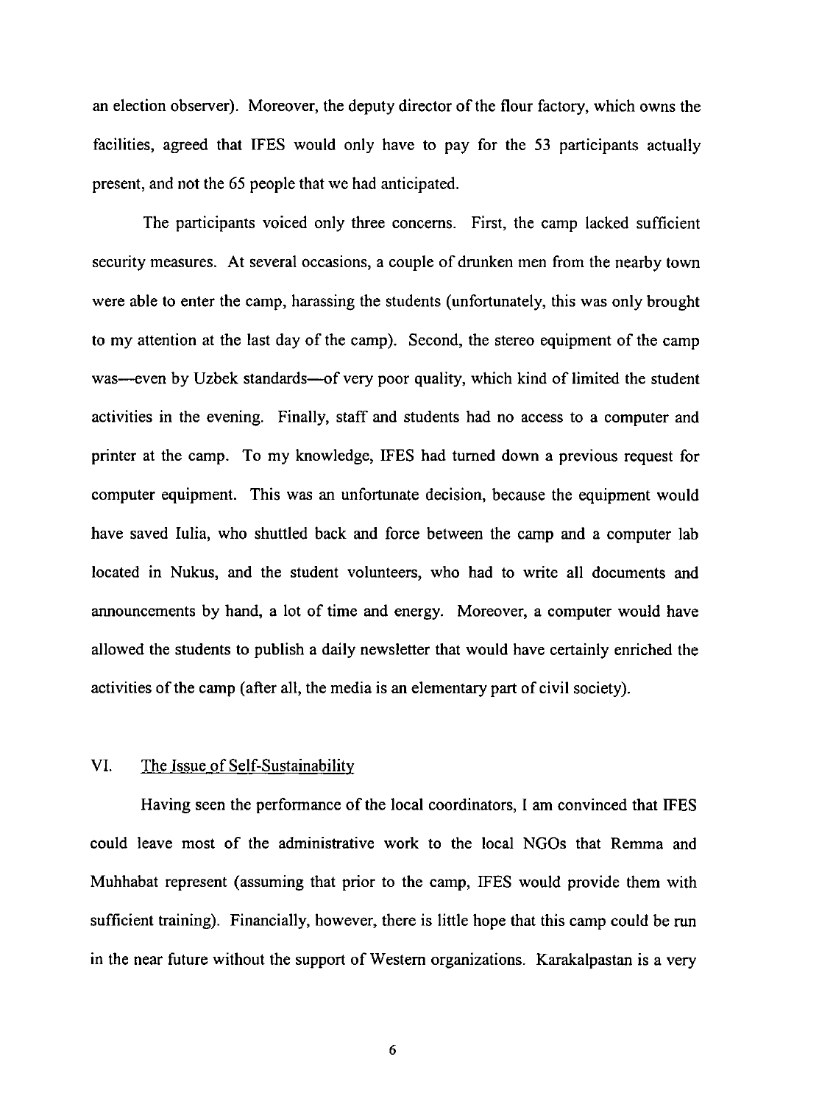an election observer). Moreover, the deputy director of the flour factory, which owns the facilities, agreed that IFES would only have to pay for the 53 participants actually present, and not the 65 people that we had anticipated.

The participants voiced only three concerns. First, the camp lacked sufficient security measures. At several occasions, a couple of drunken men from the nearby town were able to enter the camp, harassing the students (unfortunately, this was only brought to my attention at the last day of the camp). Second, the stereo equipment of the camp was-even by Uzbek standards-of very poor quality, which kind of limited the student activities in the evening. Finally, staff and students had no access to a computer and printer at the camp. To my knowledge, IFES had turned down a previous request for computer equipment. This was an unfortunate decision, because the equipment would have saved Iulia, who shuttled back and force between the camp and a computer lab located in Nukus, and the student volunteers, who had to write all documents and announcements by hand, a lot of time and energy. Moreover, a computer would have allowed the students to publish a daily newsletter that would have certainly enriched the activities of the camp (after all, the media is an elementary part of civil society).

### VI. The Issue of Self-Sustainability

Having seen the performance of the local coordinators, I am convinced that IFES could leave most of the administrative work to the local NGOs that Remma and Muhhabat represent (assuming that prior to the camp, IFES would provide them with sufficient training). Financially, however, there is little hope that this camp could be run in the near future without the support of Western organizations. Karakalpastan is a very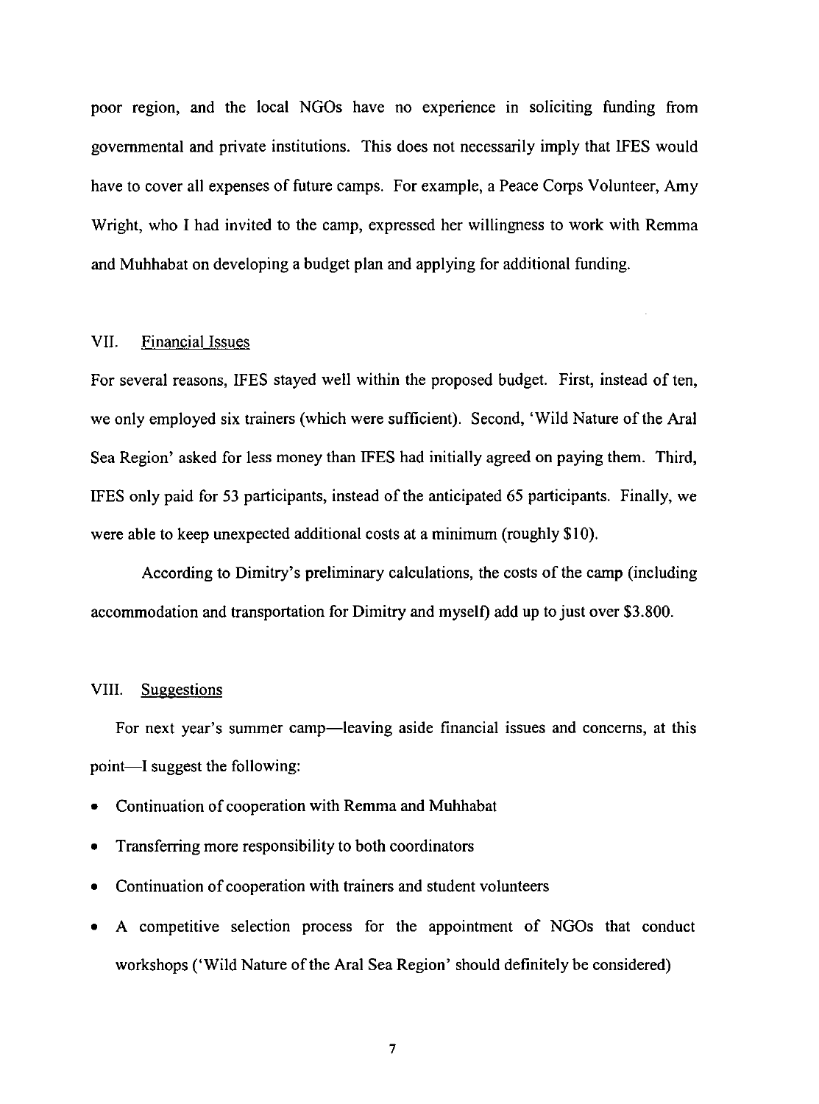poor region, and the local NGOs have no experience in soliciting funding from governmental and private institutions. This does not necessarily imply that IFES would have to cover all expenses of future camps. For example, a Peace Corps Volunteer, Amy Wright, who I had invited to the camp, expressed her willingness to work with Remma and Muhhabat on developing a budget plan and applying for additional funding.

## VII. Financial Issues

For several reasons, IFES stayed well within the proposed budget. First, instead of ten, we only employed six trainers (which were sufficient). Second, 'Wild Nature of the Aral Sea Region' asked for less money than IFES had initially agreed on paying them. Third, IFES only paid for 53 participants, instead of the anticipated 65 participants. Finally, we were able to keep unexpected additional costs at a minimum (roughly \$10).

According to Dimitry's preliminary calculations, the costs of the camp (including accommodation and transportation for Dimitry and myself) add up to just over \$3.800.

#### VIII. Suggestions

For next year's summer camp—leaving aside financial issues and concerns, at this point-I suggest the following:

- Continuation of cooperation with Remma and Muhhabat
- Transferring more responsibility to both coordinators
- Continuation of cooperation with trainers and student volunteers
- A competitive selection process for the appointment of NGOs that conduct workshops ('Wild Nature of the Aral Sea Region' should definitely be considered)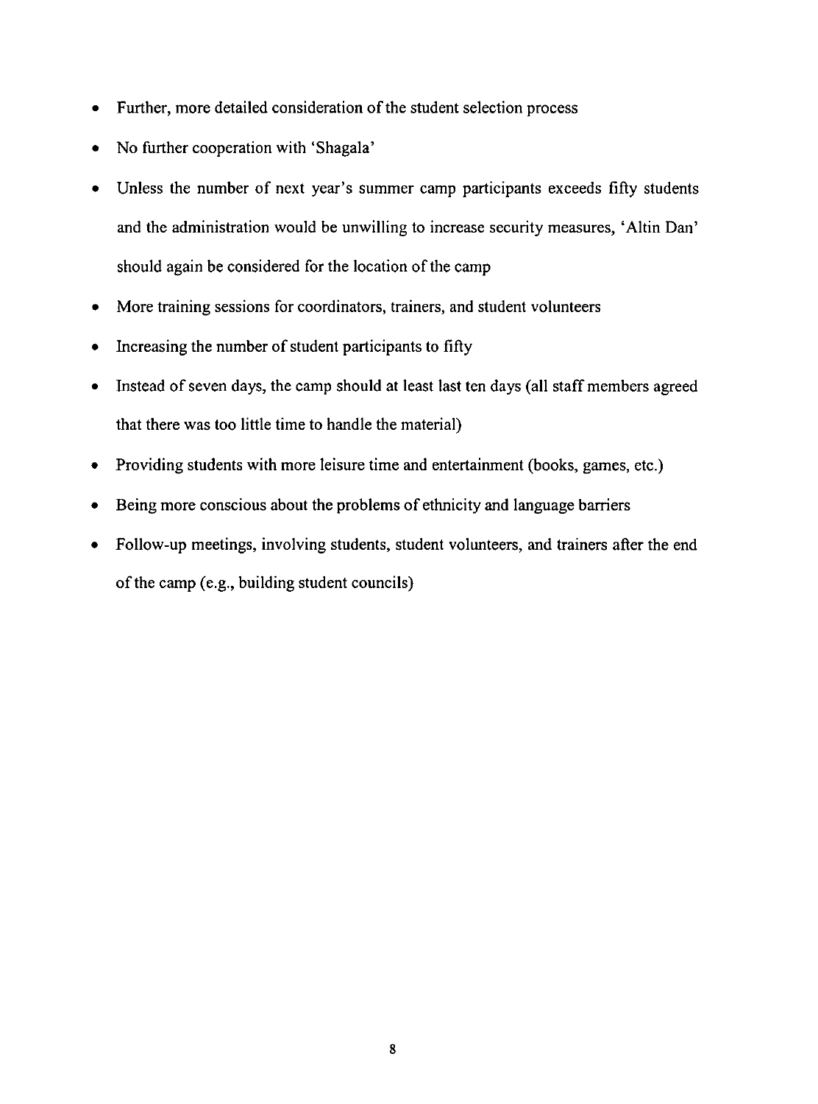- Further, more detailed consideration of the student selection process
- No further cooperation with 'Shagala'
- Unless the number of next year's summer camp participants exceeds fifty students and the administration would be unwilling to increase security measures, 'Altin Dan' should again be considered for the location of the camp
- More training sessions for coordinators, trainers, and student volunteers
- Increasing the number of student participants to fifty
- Instead of seven days, the camp should at least last ten days (all staff members agreed that there was too little time to handle the material)
- Providing students with more leisure time and entertainment (books, games, etc.)
- Being more conscious about the problems of ethnicity and language barriers
- Follow-up meetings, involving students, student volunteers, and trainers after the end of the camp (e.g., building student councils)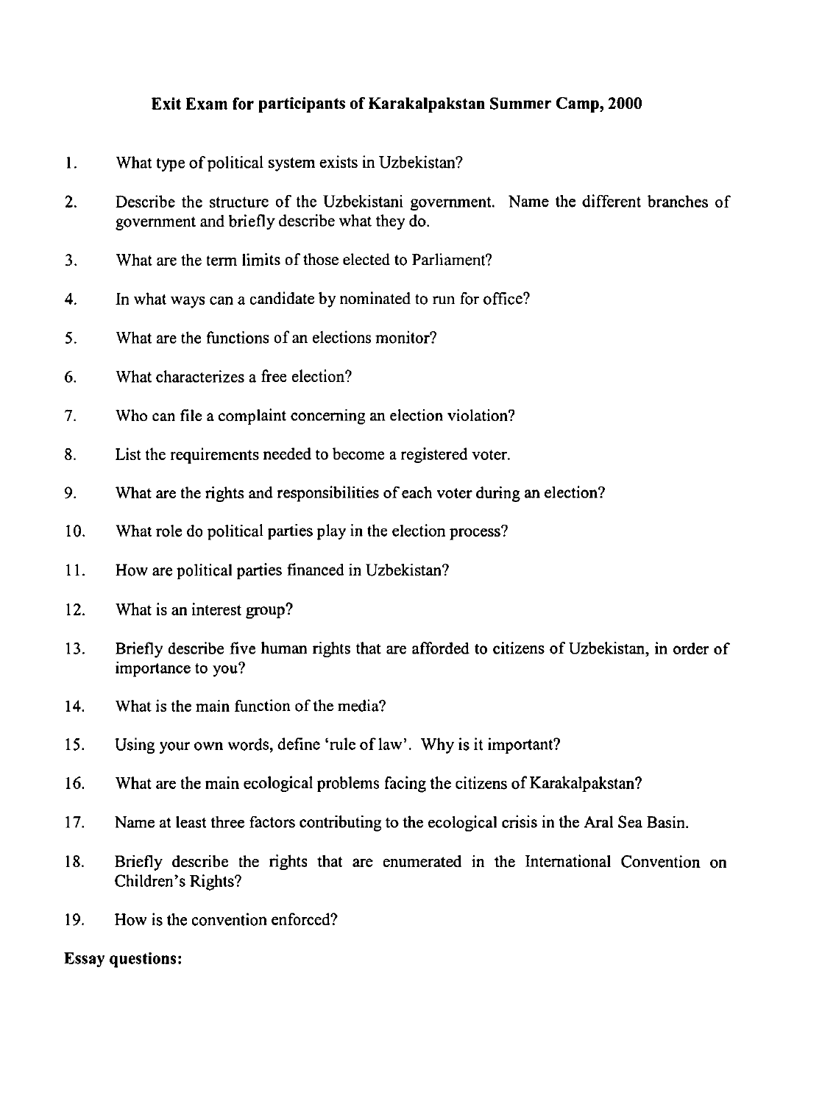# Exit Exam for participants of Karakalpakstan Summer Camp, 2000

- I. What type of political system exists in Uzbekistan?
- 2. Describe the structure of the Uzbekistani government. Name the different branches of government and briefly describe what they do.
- 3. What are the term limits of those elected to Parliament?
- 4. In what ways can a candidate by nominated to run for office?
- 5. What are the functions of an elections monitor?
- 6. What characterizes a free election?
- 7. Who can file a complaint concerning an election violation?
- 8. List the requirements needed to become a registered voter.
- 9. What are the rights and responsibilities of each voter during an election?
- 10. What role do political parties play in the election process?
- 11. How are political parties financed in Uzbekistan?
- 12. What is an interest group?
- l3. Briefly describe five human rights that are afforded to citizens of Uzbekistan, in order of importance to you?
- 14. What is the main function of the media?
- 15. Using your own words, define 'rule of law'. Why is it important?
- 16. What are the main ecological problems facing the citizens of Karakalpakstan?
- 17. Name at least three factors contributing to the ecological crisis in the Aral Sea Basin.
- 18. Briefly describe the rights that are enumerated in the International Convention on Children's Rights?
- 19. How is the convention enforced?

## Essay questions: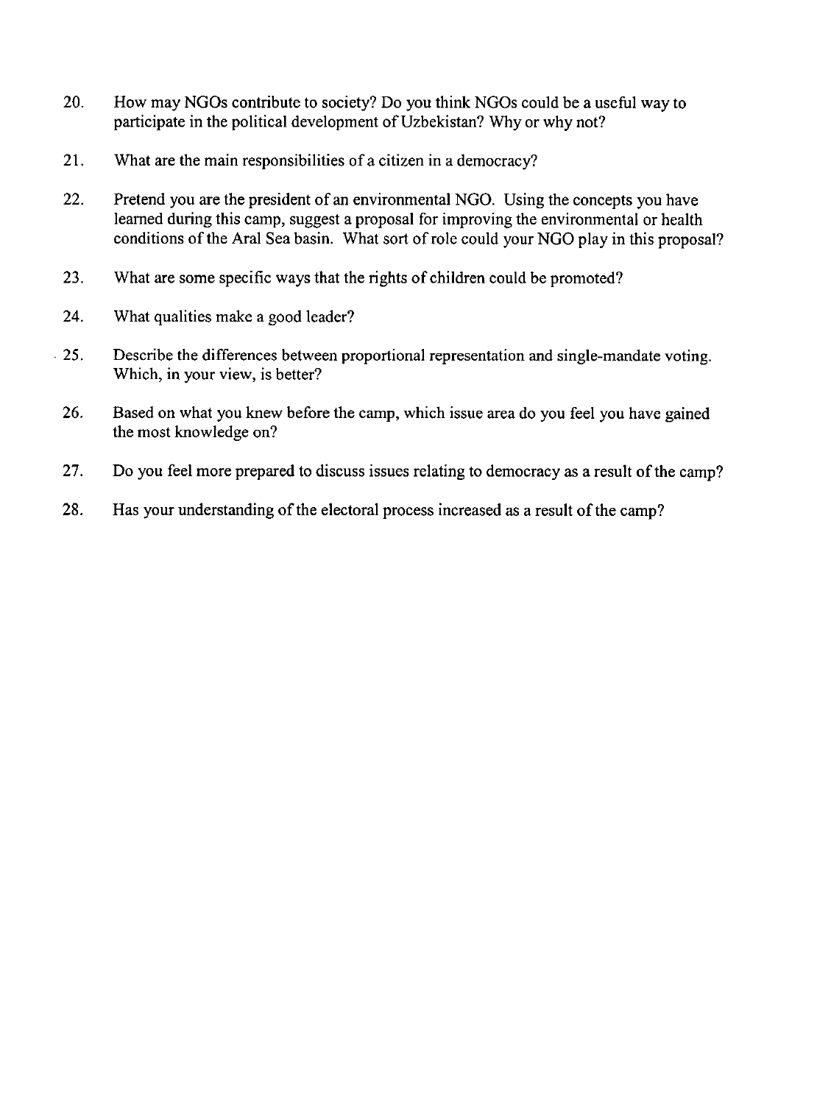- 20. How may NGOs contribute to society? Do you think NGOs could be a useful way to participate in the political development of Uzbekistan? Why or why not?
- 21. What are the main responsibilities of a citizen in a democracy?
- 22. Pretend you are the president of an environmental NGO. Using the concepts you have learned during this camp, suggest a proposal for improving the environmental or health conditions of the Aral Sea basin. What sort of role could your NGO play in this proposal?
- 23. What are some specific ways that the rights of children could be promoted?
- 24. What qualities make a good leader?
- . 25. Describe the differences between proportional representation and single-mandate voting. Which, in your view, is better?
- 26. Based on what you knew before the camp, which issue area do you feel you have gained the most knowledge on?
- 27. Do you feel more prepared to discuss issues relating to democracy as a result of the camp?
- 28. Has your understanding of the electoral process increased as a result of the camp?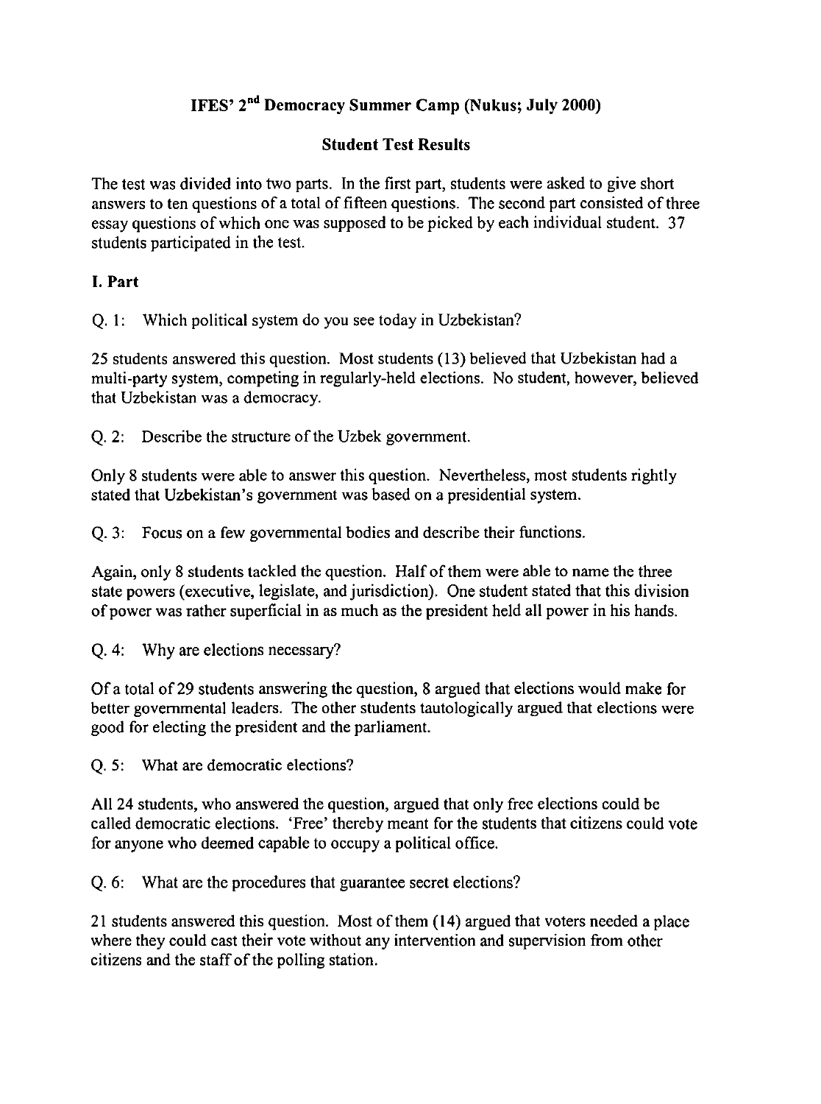# IFES' 2nd Democracy Summer Camp (Nukus; July 2000)

# Student Test Results

The test was divided into two parts. In the first part, students were asked to give short answers to ten questions of a total of fifteen questions. The second part consisted of three essay questions of which one was supposed to be picked by each individual student. 37 students participated in the test.

# I. Part

Q. I: Which political system do you see today in Uzbekistan?

25 students answered this question. Most students (13) believed that Uzbekistan had a multi-party system, competing in regularly-held elections. No student, however, believed that Uzbekistan was a democracy.

Q.2: Describe the structure of the Uzbek government.

Only 8 students were able to answer this question. Nevertheless, most students rightly stated that Uzbekistan's government was based on a presidential system.

Q. 3: Focus on a few governmental bodies and describe their functions.

Again, only 8 students tackled the question. Half of them were able to name the three state powers (executive, legislate, and jurisdiction). One student stated that this division of power was rather superficial in as much as the president held all power in his hands.

Q. 4: Why are elections necessary?

Of a total of 29 students answering the question, 8 argued that elections would make for better governmental leaders. The other students tautologically argued that elections were good for electing the president and the parliament.

Q. 5: What are democratic elections?

All 24 students, who answered the question, argued that only free elections could be called democratic elections. 'Free' thereby meant for the students that citizens could vote for anyone who deemed capable to occupy a political office.

Q. 6: What are the procedures that guarantee secret elections?

21 students answered this question. Most of them (14) argued that voters needed a place where they could cast their vote without any intervention and supervision from other citizens and the staff of the polling station.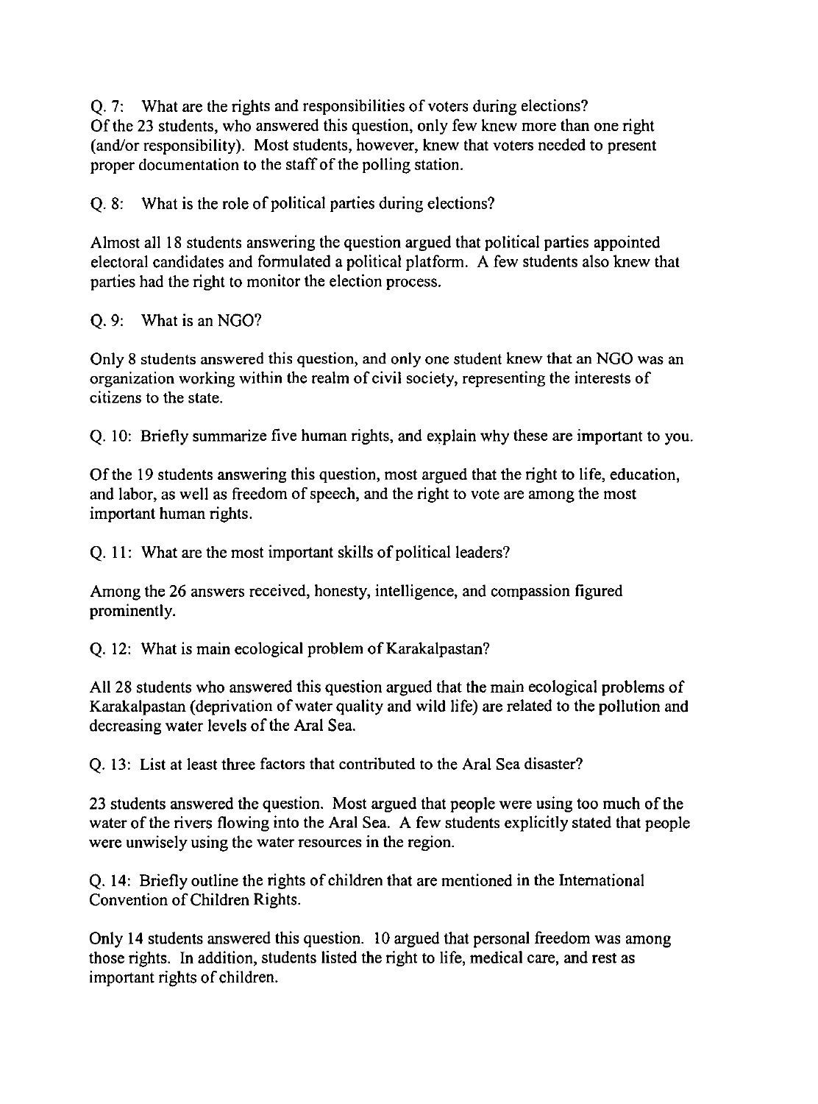Q.7: What are the rights and responsibilities of voters during elections? Of the 23 students, who answered this question, only few knew more than one right (and/or responsibility). Most students, however, knew that voters needed to present proper documentation to the staff of the polling station.

Q.8: What is the role of political parties during elections?

Almost all 18 students answering the question argued that political parties appointed electoral candidates and formulated a political platform. A few students also knew that parties had the right to monitor the election process.

Q. 9: What is an NGO?

Only 8 students answered this question, and only one student knew that an NGO was an organization working within the realm of civil society, representing the interests of citizens to the state.

Q. 10: Briefly summarize five human rights, and explain why these are important to you.

Of the 19 students answering this question, most argued that the right to life, education, and labor, as well as freedom of speech, and the right to vote are among the most important human rights.

Q. 11: What are the most important skills of political leaders?

Among the 26 answers received, honesty, intelligence, and compassion figured prominently.

Q. 12: What is main ecological problem of Karakalpastan?

All 28 students who answered this question argued that the main ecological problems of Karakalpastan (deprivation of water quality and wild life) are related to the pollution and decreasing water levels of the Aral Sea.

Q. 13: List at least three factors that contributed to the Aral Sea disaster?

23 students answered the question. Most argued that people were using too much of the water of the rivers flowing into the Aral Sea. A few students explicitly stated that people were unwisely using the water resources in the region.

Q. 14: Briefly outline the rights of children that are mentioned in the International Convention of Children Rights.

Only 14 students answered this question. 10 argued that personal freedom was among those rights. In addition, students listed the right to life, medical care, and rest as important rights of children.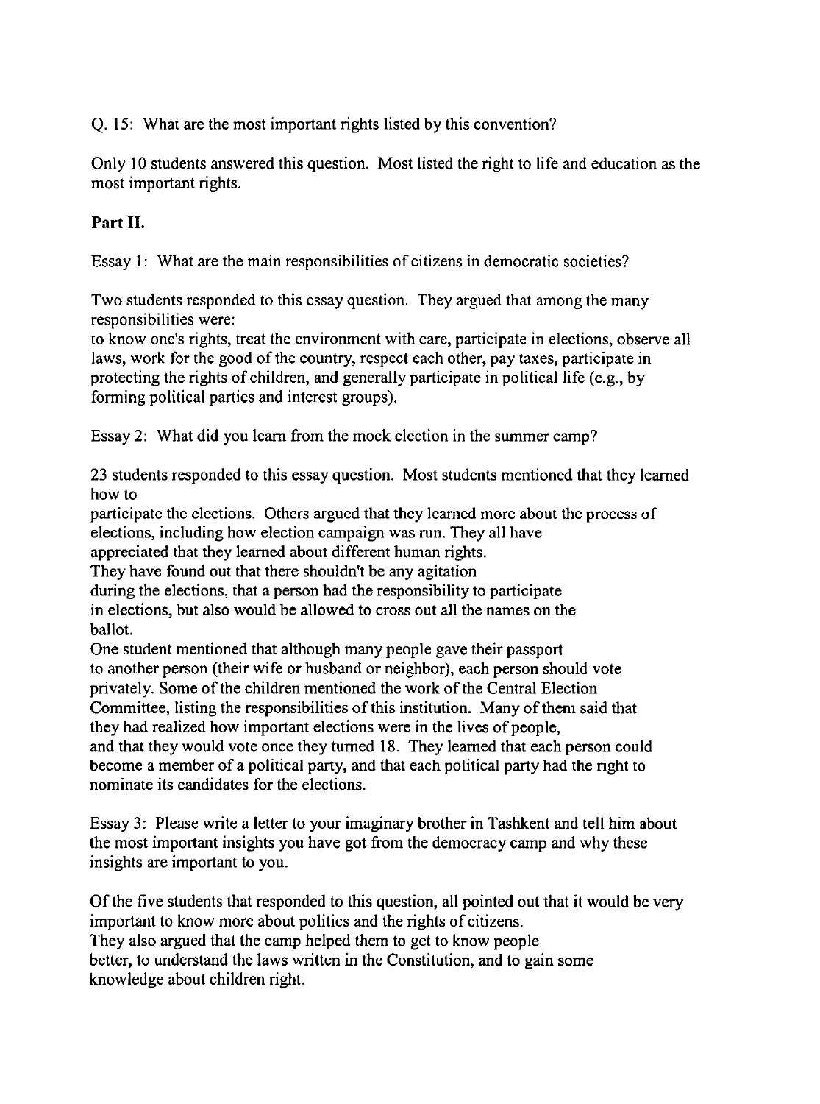Q. 15: What are the most important rights listed by this convention?

Only 10 students answered this question. Most listed the right to life and education as the most important rights.

# **Part II.**

Essay I: What are the main responsibilities of citizens in democratic societies?

Two students responded to this essay question. They argued that among the many responsibilities were:

to know one's rights, treat the environment with care, participate in elections, observe all laws, work for the good of the country, respect each other, pay taxes, participate in protecting the rights of children, and generally participate in political life (e.g., by forming political parties and interest groups).

Essay 2: What did you learn from the mock election in the summer camp?

23 students responded to this essay question. Most students mentioned that they learned how to

participate the elections. Others argued that they learned more about the process of elections, including how election campaign was run. They all have

appreciated that they learned about different human rights.

They have found out that there shouldn't be any agitation

during the elections, that a person had the responsibility to participate in elections, but also would be allowed to cross out all the names on the ballot.

One student mentioned that although many people gave their passport to another person (their wife or husband or neighbor), each person should vote privately. Some of the children mentioned the work of the Central Election Committee, listing the responsibilities of this institution. Many of them said that they had realized how important elections were in the lives of people, and that they would vote once they turned 18. They learned that each person could become a member of a political party, and that each political party had the right to nominate its candidates for the elections.

Essay 3: Please write a letter to your imaginary brother in Tashkent and tell him about the most important insights you have got from the democracy camp and why these insights are important to you.

Of the five students that responded to this question, all pointed out that it would be very important to know more about politics and the rights of citizens. They also argued that the camp helped them to get to know people better, to understand the laws written in the Constitution, and to gain some knowledge about children right.